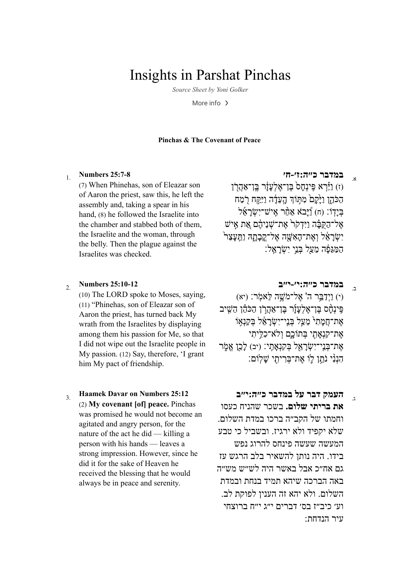# **Insights in Parshat Pinchas**

Source Sheet by Yoni Golker

More info  $\rightarrow$ 

### **Pinchas & The Covenant of Peace**

#### **Numbers 25:7-8**  $\mathbf{1}$

(7) When Phinehas, son of Eleazar son of Aaron the priest, saw this, he left the assembly and, taking a spear in his hand, (8) he followed the Israelite into the chamber and stabbed both of them. the Israelite and the woman, through the belly. Then the plague against the Israelites was checked.

#### **Numbers 25:10-12**  $2<sub>1</sub>$

(10) The LORD spoke to Moses, saying, (11) "Phinehas, son of Eleazar son of Aaron the priest, has turned back My wrath from the Israelites by displaying among them his passion for Me, so that I did not wipe out the Israelite people in My passion. (12) Say, therefore, 'I grant him My pact of friendship.

### **Haamek Davar on Numbers 25:12**  $\mathcal{E}$  $(2)$  My covenant [of] peace. Pinchas was promised he would not become an agitated and angry person, for the nature of the act he did — killing a person with his hands — leaves a strong impression. However, since he did it for the sake of Heaven he received the blessing that he would always be in peace and serenity.

#### במדבר כ"ה: ז'-ח'  $\mathbf{x}$

וז) וירא פינחס בו־אלעזר בו־אהרו הכֹהו ויקם מתוד העדה ויקח רמח  $\frac{1}{2}$ יש־ישראל אַמֿר אַיש־ישראָל אל־הקּבֿה ויִדקׂר<sup>י</sup> את־שניהם את איש יִשְׂרַאֵּל וְאֵת־הַאָּשֵׁה אֱל־קַבְתַּהּ וַתֵּעֲצָר המגפה מעל בני ישראל:

#### במדבר כ"ה: י'-י"ב  $\overline{z}$

וי ניִדְבֵּר ה' אֱל־מֹּשֶׁה לֵאמֹר: (יא) פינחס בו־אלעור בו־אהרו הכהו השיב אֵת־חֲמַתִי מֱעֲל בְּנֵי־יְשָׂרַאֵל בִּקַנְאָוֹ אֵת־קִנְאַתִי בִּתוֹכֵם וְלֹא־כִלְיתִי אֶת־בְּנֵי־יִשָׂרָאֵל בִּקְנָאֲתֵי: (יב) לַבֵן אֱמֶר הִנְנִי נֹתֵן לֵוֹ אֱת־בְּרִיתִי שֲלְוֹם:

### העמק דבר על במדבר כ"ה:י"ב  $\lambda$

את בריתי שלום. בשכר שהניח כעסו וחמתו של הקב״ה ברכו במדת השלום. ילא יקפיד ולא ירגיז. ובשביל כי טבע המעשה שעשה פינחס להרוג נפש בידו. היה נותן להשאיר בלב הרגש עז גם אח״כ אבל באשר היה לש״ש מש״ה באה הברכה שיהא תמיד בנחת ובמדת השלום. ולא יהא זה העניו לפוקת לב. וע׳ כיב״ז בס׳ דברים י״ג י״ח ברוצחי עיר הנדחת: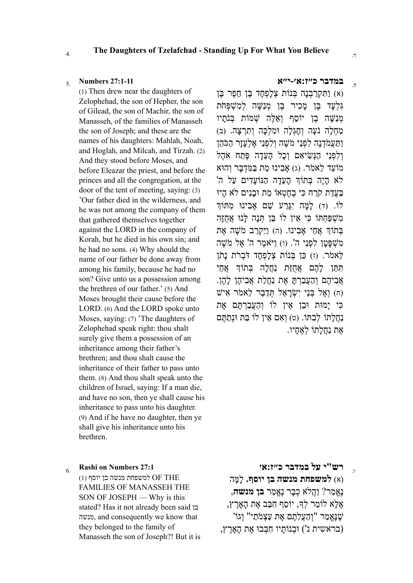## **The Daughters of Tzelafchad - Standing Up For What You Believe** 4. .ד

(1) Then drew near the daughters of Zelophehad, the son of Hepher, the son of Gilead, the son of Machir, the son of Manasseh, of the families of Manasseh the son of Joseph; and these are the names of his daughters: Mahlah, Noah, and Hoglah, and Milcah, and Tirzah. (2) And they stood before Moses, and before Eleazar the priest, and before the princes and all the congregation, at the door of the tent of meeting, saying: (3) 'Our father died in the wilderness, and he was not among the company of them that gathered themselves together against the LORD in the company of Korah, but he died in his own sin; and he had no sons. (4) Why should the name of our father be done away from among his family, because he had no son? Give unto us a possession among the brethren of our father.' (5) And Moses brought their cause before the LORD. (6) And the LORD spoke unto Moses, saying: (7) 'The daughters of Zelophehad speak right: thou shalt surely give them a possession of an inheritance among their father's brethren; and thou shalt cause the inheritance of their father to pass unto them. (8) And thou shalt speak unto the children of Israel, saying: If a man die, and have no son, then ye shall cause his inheritance to pass unto his daughter. (9) And if he have no daughter, then ye shall give his inheritance unto his brethren.

### **Rashi on [Numbers](https://www.sefaria.org/Rashi_on_Numbers.27.1) 27:1**

 $(1)$  למשפחת מנשה בן יוסף OF THE FAMILIES OF MANASSEH THE SON OF JOSEPH — Why is this stated? Has it not already been said בן מנשה, and consequently we know that they belonged to the family of Manasseh the son of Joseph?! But it is

# **במדבר [כ״ז:א׳-י״א](https://www.sefaria.org/Numbers.27.1-11)** ה. 5. **27:1-11 [Numbers](https://www.sefaria.org/Numbers.27.1-11)**

(א) וַתִּקְרַבְנָה בְּנוֹת צָלָפְחַד בֵּן חֶפֶר בֵּן) **גִּלְעַד בֵּן מַכִיר בֵּן מְנַשֵּׁה לְמִשָׁפִּחֹת** מְנַשֶּׁה בֵּן יוֹסֵף וְאֵלֶּה שָׁמוֹת בִּנֹתַיו ַמְחָלָה נֹעֲה וְחָגְלָה וּמְלְכָּה וְתְרָצָה. (ב) וַתַּעֲמֹדָנַה לְפָנֵי מֹשֵׁה וְלִפְנֵי אֵלְעַזַר הַכֹּהֶן וְלִפְנֵי הַנְּשִׂיאִם וְכָל הָעֵדָה פֶּתַח אֹהָל מ ֵוֹעד ֵלא ֹמר. (ג) ָא ִבינוּ ֵמת ַבּ ִמּ ְד ָבּר ְוהוּא לֹא הָיָה בְּתוֹךְ הָעֲדָה הַנּוֹעֲדִים עַל ה' ַבְּעֲדָת קֹרָח כִּי בְחֶטְאוֹ מֶת וּבנִים לֹא ְהִיוּ לוֹ. (ד) למה יָגּרַע שֵׁם אבִינוּ מִתּוֹד ִמ ְשַׁפּ ְחתּוֹ ִכּי ֵאין לוֹ ֵבּן ְתָּנה ָלּנוּ ֲאֻחָזּה ָבְתוֹךְ אָחֵי אָבִינוּ. (ה) וַיַּקְרֶב מֹשָׁה אֶת ִמ ְשָׁפּ ָטן ִל ְפֵני ה'. (ו) ַויֹּא ֶמר ה' ֶאל ֹמ ֶשׁה  $\vec{r}$ לֹאמֹר. (ז) כֵּן בְּנוֹת צָלְפָחד דֹּבְרֹת נִתן ֶתִּתֵּו לִהֶם אֶחָזָּת נַחֲלֹה בִּתוֹדְ אֶחֶי ְאֲבִיהֶם וְהַעֲבַרְתַּ אֶת נַחֲלַת אֲבִיהֶן לָהֶן. (ח) ואל בּני ישׂראל תּדבּר לאמר איש ִכּי ָימוּת וּ ֵבן ֵאין לוֹ ְו ַה ֲע ַבְר ֶתּם ֶאת ַנְחֲלָתוֹ לְבְתּוֹ. (ט) וְאָם אֵין לוֹ בַּת וּנְתַתֵּם ֶאת ַנֲח ָלתוֹ ְל ֶא ָחיו.

ו. 6. **רש"י [על במדבר](https://www.sefaria.org/Rashi_on_Numbers.27.1) כ״ז:א׳**

(א) **למשפחת מנשה בן יוסף.** ָל ָמּה ֶנֱא ַמר? ַוֲהלֹא ְכ ָבר ֶנֱא ַמר **בן מנשה**, ֶא ָלּא לוֹ ַמר ְל, יוֹ ֵסף ִח ֵבּב ֶאת ָ ה ָאֶרץ, 'שֶׁנֵּאֲמַר "וְהַעֲלָתֶם אֶת עַצְמֹתַי" וְגוֹ (בראשית נ') וּ ְבנוָֹתיו ִח ְבּבוּ ֶאת ָ ה ָאֶרץ,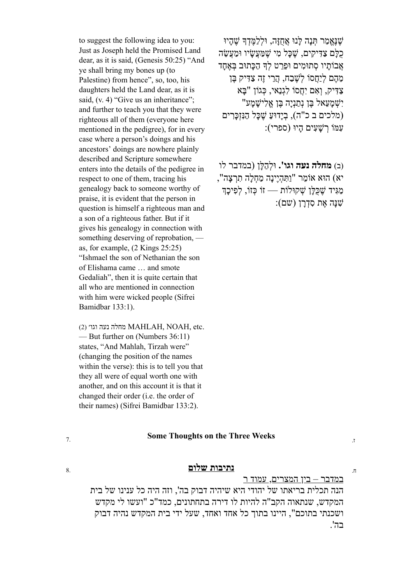to suggest the following idea to you: Just as Joseph held the Promised Land dear, as it is said, (Genesis 50:25) "And ye shall bring my bones up (to Palestine) from hence", so, too, his daughters held the Land dear, as it is said, (v. 4) "Give us an inheritance"; and further to teach you that they were righteous all of them (everyone here mentioned in the pedigree), for in every case where a person's doings and his ancestors' doings are nowhere plainly described and Scripture somewhere enters into the details of the pedigree in respect to one of them, tracing his genealogy back to someone worthy of praise, it is evident that the person in question is himself a righteous man and a son of a righteous father. But if it gives his genealogy in connection with something deserving of reprobation, as, for example, (2 Kings 25:25) "Ishmael the son of Nethanian the son of Elishama came … and smote Gedaliah", then it is quite certain that all who are mentioned in connection with him were wicked people (Sifrei Bamidbar 133:1).

 $(2)$  מחלה נעה וגו׳ MAHLAH, NOAH, etc. — But further on (Numbers 36:11) states, "And Mahlah, Tirzah were" (changing the position of the names within the verse): this is to tell you that they all were of equal worth one with another, and on this account it is that it changed their order (i.e. the order of their names) (Sifrei Bamidbar 133:2).

ֶשֶׁנֱּא ַמר ְתָּנה ָלּנוּ ֲאֻחָזּה, וּ ְל ַל ֶמּ ְד ֶ שׁ ָהיוּ ֻכ ָלּם ַצ ִדּ ִיקים, ֶ שָׁכּל ִמי ֶ שַׁמּ ֲע ָשׂיו וּ ַמ ֲע ֵשׂה ְאֲבוֹתַיו סְתוּמִים וּפֵרֵט לְדְּ הַכָּתוּב בְּאֶחַד ַמְהֶם לְיַחֵסוֹ לְשֶׁבָח, הֲרֵי זֶה צַדִּיק בֵּן ַצ ִדּיק, ְו ִאם ִיֲחסוֹ ִל ְגַנאי, ְכּגוֹן " ָבּא "ישמעאל בּו נתניה בּו אלישמע (מלכים ב כ"ה), בְיַדוּעַ שֶׁכַּל הַנִּזְכַּךִים) : עמּוֹ רשׁעים היוּ (ספרי)

(ב) **מחלה נעה וגו'.** וּ ְל ַה ָלּן (במדבר לו יא) הוּא אוֹמֵר "וַתִּהְיֶינה מַחֲלֹה תַרְצה", מַגִּיד שֶׁכְּלָן שְׁקוּלוֹת — זוֹ כִּזוֹ, לִפִיכֵך  $:$ שׁנּה אֵת סדרן (שם):

# **Some Thoughts on the Three Weeks**  $\frac{1}{2}$

#### **נתיבות שלום** ח. 8.

במדבר – בין המצרים, עמוד ר

הנה תכלית בריאתו של יהודי היא שיהיה דבוק בה', וזה היה כל ענינו של בית המקדש, שנתאוה הקב"ה להיות לו דירה בתחתונים, כמד"כ "ועשו לי מקדש ושכנתי בתוכם", היינו בתוך כל אחד ואחד, שעל ידי בית המקדש נהיה דבוק בה'.